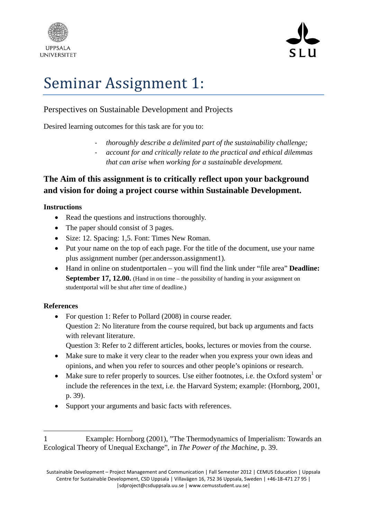



# Seminar Assignment 1:

# Perspectives on Sustainable Development and Projects

Desired learning outcomes for this task are for you to:

- ‐ *thoroughly describe a delimited part of the sustainability challenge;*
- ‐ *account for and critically relate to the practical and ethical dilemmas that can arise when working for a sustainable development.*

# **The Aim of this assignment is to critically reflect upon your background and vision for doing a project course within Sustainable Development.**

## **Instructions**

- Read the questions and instructions thoroughly.
- The paper should consist of 3 pages.
- Size: 12. Spacing: 1,5. Font: Times New Roman.
- Put your name on the top of each page. For the title of the document, use your name plus assignment number (per.andersson.assignment1)*.*
- Hand in online on studentportalen you will find the link under "file area" **Deadline: September 17, 12.00.** (Hand in on time – the possibility of handing in your assignment on studentportal will be shut after time of deadline.)

# **References**

• For question 1: Refer to Pollard (2008) in course reader. Question 2: No literature from the course required, but back up arguments and facts with relevant literature.

Question 3: Refer to 2 different articles, books, lectures or movies from the course.

- Make sure to make it very clear to the reader when you express your own ideas and opinions, and when you refer to sources and other people's opinions or research.
- Make sure to refer properly to sources. Use either footnotes, i.e. the Oxford system<sup>1</sup> or include the references in the text, i.e. the Harvard System; example: (Hornborg, 2001, p. 39).
- Support your arguments and basic facts with references.

<sup>1</sup> Example: Hornborg (2001), "The Thermodynamics of Imperialism: Towards an Ecological Theory of Unequal Exchange", in *The Power of the Machine*, p. 39.

Sustainable Development – Project Management and Communication | Fall Semester 2012 | CEMUS Education | Uppsala Centre for Sustainable Development, CSD Uppsala | Villavägen 16, 752 36 Uppsala, Sweden | +46‐18‐471 27 95 | |sdproject@csduppsala.uu.se | www.cemusstudent.uu.se|